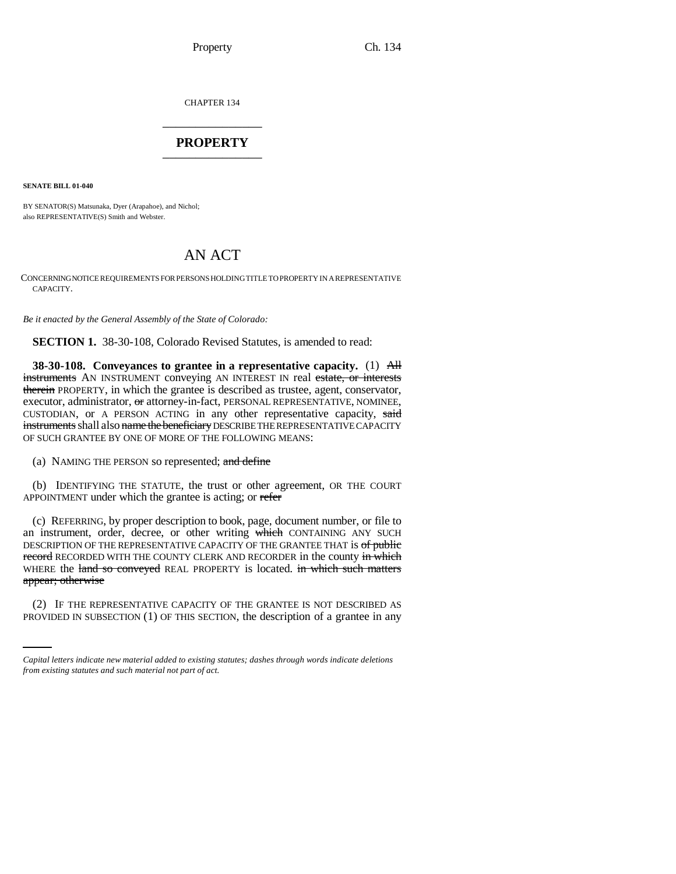CHAPTER 134 \_\_\_\_\_\_\_\_\_\_\_\_\_\_\_

## **PROPERTY** \_\_\_\_\_\_\_\_\_\_\_\_\_\_\_

**SENATE BILL 01-040**

BY SENATOR(S) Matsunaka, Dyer (Arapahoe), and Nichol; also REPRESENTATIVE(S) Smith and Webster.

# AN ACT

CONCERNING NOTICE REQUIREMENTS FOR PERSONS HOLDING TITLE TO PROPERTY IN A REPRESENTATIVE CAPACITY.

*Be it enacted by the General Assembly of the State of Colorado:*

**SECTION 1.** 38-30-108, Colorado Revised Statutes, is amended to read:

**38-30-108. Conveyances to grantee in a representative capacity.** (1) All **instruments** AN INSTRUMENT conveying AN INTEREST IN real estate, or interests therein PROPERTY, in which the grantee is described as trustee, agent, conservator, executor, administrator, or attorney-in-fact, PERSONAL REPRESENTATIVE, NOMINEE, CUSTODIAN, or A PERSON ACTING in any other representative capacity, said instruments shall also name the beneficiary DESCRIBE THE REPRESENTATIVE CAPACITY OF SUCH GRANTEE BY ONE OF MORE OF THE FOLLOWING MEANS:

(a) NAMING THE PERSON so represented; and define

(b) IDENTIFYING THE STATUTE, the trust or other agreement, OR THE COURT APPOINTMENT under which the grantee is acting; or refer

appear; otherwise (c) REFERRING, by proper description to book, page, document number, or file to an instrument, order, decree, or other writing which CONTAINING ANY SUCH DESCRIPTION OF THE REPRESENTATIVE CAPACITY OF THE GRANTEE THAT is of public record RECORDED WITH THE COUNTY CLERK AND RECORDER in the county in which WHERE the land so conveyed REAL PROPERTY is located. in which such matters

(2) IF THE REPRESENTATIVE CAPACITY OF THE GRANTEE IS NOT DESCRIBED AS PROVIDED IN SUBSECTION (1) OF THIS SECTION, the description of a grantee in any

*Capital letters indicate new material added to existing statutes; dashes through words indicate deletions from existing statutes and such material not part of act.*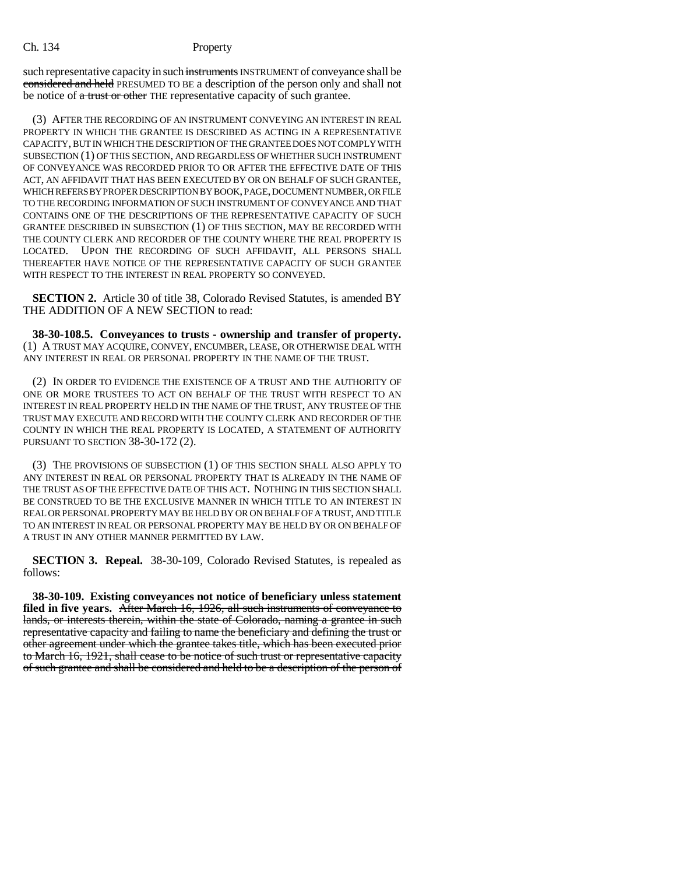#### Ch. 134 Property

such representative capacity in such instruments INSTRUMENT of conveyance shall be considered and held PRESUMED TO BE a description of the person only and shall not be notice of a trust or other THE representative capacity of such grantee.

(3) AFTER THE RECORDING OF AN INSTRUMENT CONVEYING AN INTEREST IN REAL PROPERTY IN WHICH THE GRANTEE IS DESCRIBED AS ACTING IN A REPRESENTATIVE CAPACITY, BUT IN WHICH THE DESCRIPTION OF THE GRANTEE DOES NOT COMPLY WITH SUBSECTION (1) OF THIS SECTION, AND REGARDLESS OF WHETHER SUCH INSTRUMENT OF CONVEYANCE WAS RECORDED PRIOR TO OR AFTER THE EFFECTIVE DATE OF THIS ACT, AN AFFIDAVIT THAT HAS BEEN EXECUTED BY OR ON BEHALF OF SUCH GRANTEE, WHICH REFERS BY PROPER DESCRIPTION BY BOOK, PAGE, DOCUMENT NUMBER, OR FILE TO THE RECORDING INFORMATION OF SUCH INSTRUMENT OF CONVEYANCE AND THAT CONTAINS ONE OF THE DESCRIPTIONS OF THE REPRESENTATIVE CAPACITY OF SUCH GRANTEE DESCRIBED IN SUBSECTION (1) OF THIS SECTION, MAY BE RECORDED WITH THE COUNTY CLERK AND RECORDER OF THE COUNTY WHERE THE REAL PROPERTY IS LOCATED. UPON THE RECORDING OF SUCH AFFIDAVIT, ALL PERSONS SHALL THEREAFTER HAVE NOTICE OF THE REPRESENTATIVE CAPACITY OF SUCH GRANTEE WITH RESPECT TO THE INTEREST IN REAL PROPERTY SO CONVEYED.

**SECTION 2.** Article 30 of title 38, Colorado Revised Statutes, is amended BY THE ADDITION OF A NEW SECTION to read:

**38-30-108.5. Conveyances to trusts - ownership and transfer of property.** (1) A TRUST MAY ACQUIRE, CONVEY, ENCUMBER, LEASE, OR OTHERWISE DEAL WITH ANY INTEREST IN REAL OR PERSONAL PROPERTY IN THE NAME OF THE TRUST.

(2) IN ORDER TO EVIDENCE THE EXISTENCE OF A TRUST AND THE AUTHORITY OF ONE OR MORE TRUSTEES TO ACT ON BEHALF OF THE TRUST WITH RESPECT TO AN INTEREST IN REAL PROPERTY HELD IN THE NAME OF THE TRUST, ANY TRUSTEE OF THE TRUST MAY EXECUTE AND RECORD WITH THE COUNTY CLERK AND RECORDER OF THE COUNTY IN WHICH THE REAL PROPERTY IS LOCATED, A STATEMENT OF AUTHORITY PURSUANT TO SECTION 38-30-172 (2).

(3) THE PROVISIONS OF SUBSECTION (1) OF THIS SECTION SHALL ALSO APPLY TO ANY INTEREST IN REAL OR PERSONAL PROPERTY THAT IS ALREADY IN THE NAME OF THE TRUST AS OF THE EFFECTIVE DATE OF THIS ACT. NOTHING IN THIS SECTION SHALL BE CONSTRUED TO BE THE EXCLUSIVE MANNER IN WHICH TITLE TO AN INTEREST IN REAL OR PERSONAL PROPERTY MAY BE HELD BY OR ON BEHALF OF A TRUST, AND TITLE TO AN INTEREST IN REAL OR PERSONAL PROPERTY MAY BE HELD BY OR ON BEHALF OF A TRUST IN ANY OTHER MANNER PERMITTED BY LAW.

**SECTION 3. Repeal.** 38-30-109, Colorado Revised Statutes, is repealed as follows:

**38-30-109. Existing conveyances not notice of beneficiary unless statement filed in five years.** After March 16, 1926, all such instruments of conveyance to lands, or interests therein, within the state of Colorado, naming a grantee in such representative capacity and failing to name the beneficiary and defining the trust or other agreement under which the grantee takes title, which has been executed prior to March 16, 1921, shall cease to be notice of such trust or representative capacity of such grantee and shall be considered and held to be a description of the person of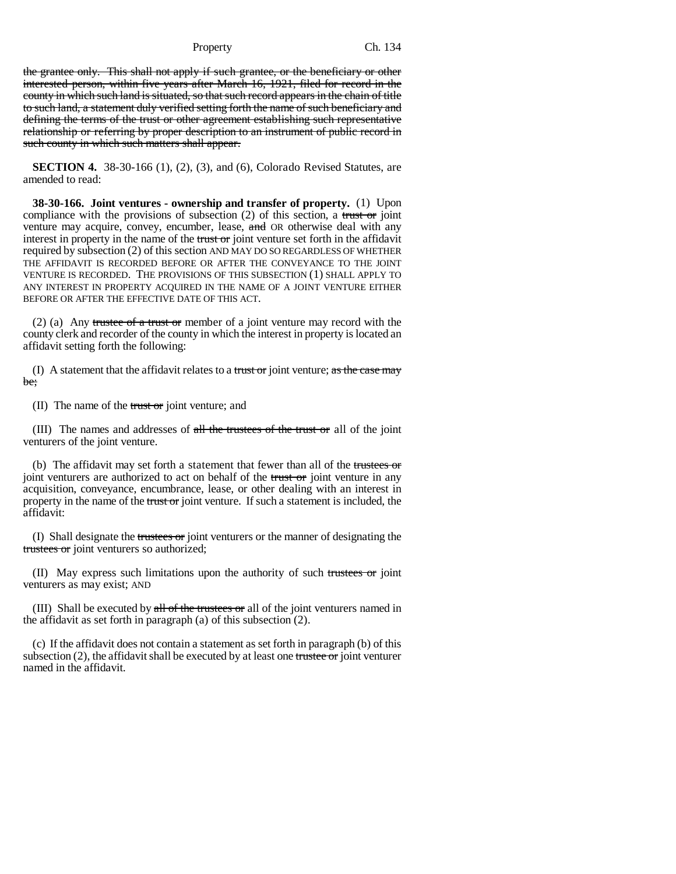Property Ch. 134

the grantee only. This shall not apply if such grantee, or the beneficiary or other interested person, within five years after March 16, 1921, filed for record in the county in which such land is situated, so that such record appears in the chain of title to such land, a statement duly verified setting forth the name of such beneficiary and defining the terms of the trust or other agreement establishing such representative relationship or referring by proper description to an instrument of public record in such county in which such matters shall appear.

**SECTION 4.** 38-30-166 (1), (2), (3), and (6), Colorado Revised Statutes, are amended to read:

**38-30-166. Joint ventures - ownership and transfer of property.** (1) Upon compliance with the provisions of subsection  $(2)$  of this section, a trust or joint venture may acquire, convey, encumber, lease, and OR otherwise deal with any interest in property in the name of the trust or joint venture set forth in the affidavit required by subsection (2) of this section AND MAY DO SO REGARDLESS OF WHETHER THE AFFIDAVIT IS RECORDED BEFORE OR AFTER THE CONVEYANCE TO THE JOINT VENTURE IS RECORDED. THE PROVISIONS OF THIS SUBSECTION (1) SHALL APPLY TO ANY INTEREST IN PROPERTY ACQUIRED IN THE NAME OF A JOINT VENTURE EITHER BEFORE OR AFTER THE EFFECTIVE DATE OF THIS ACT.

(2) (a) Any trustee of a trust or member of a joint venture may record with the county clerk and recorder of the county in which the interest in property is located an affidavit setting forth the following:

(I) A statement that the affidavit relates to a trust or joint venture; as the case may be;

(II) The name of the trust or joint venture; and

(III) The names and addresses of  $all$  the trustees of the trust or all of the joint venturers of the joint venture.

(b) The affidavit may set forth a statement that fewer than all of the trustees or joint venturers are authorized to act on behalf of the trust or joint venture in any acquisition, conveyance, encumbrance, lease, or other dealing with an interest in property in the name of the trust or joint venture. If such a statement is included, the affidavit:

(I) Shall designate the trustees or joint venturers or the manner of designating the trustees or joint venturers so authorized;

(II) May express such limitations upon the authority of such trustees or joint venturers as may exist; AND

(III) Shall be executed by all of the trustees or all of the joint venturers named in the affidavit as set forth in paragraph (a) of this subsection (2).

(c) If the affidavit does not contain a statement as set forth in paragraph (b) of this subsection  $(2)$ , the affidavit shall be executed by at least one trustee or joint venturer named in the affidavit.